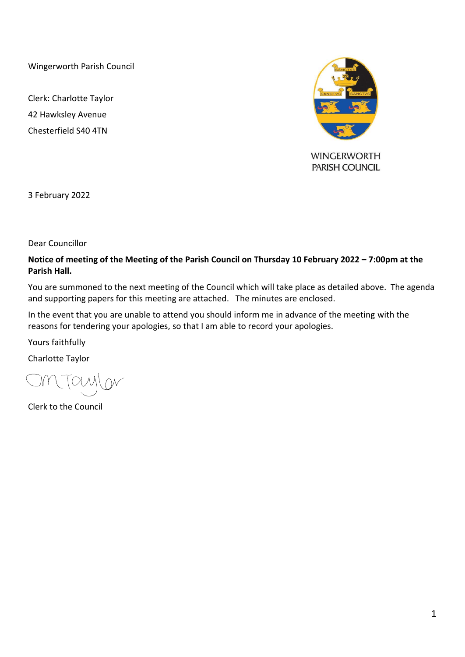Wingerworth Parish Council

Clerk: Charlotte Taylor 42 Hawksley Avenue Chesterfield S40 4TN



3 February 2022

Dear Councillor

### **Notice of meeting of the Meeting of the Parish Council on Thursday 10 February 2022 – 7:00pm at the Parish Hall.**

You are summoned to the next meeting of the Council which will take place as detailed above. The agenda and supporting papers for this meeting are attached. The minutes are enclosed.

In the event that you are unable to attend you should inform me in advance of the meeting with the reasons for tendering your apologies, so that I am able to record your apologies.

Yours faithfully

Charlotte Taylor

Clerk to the Council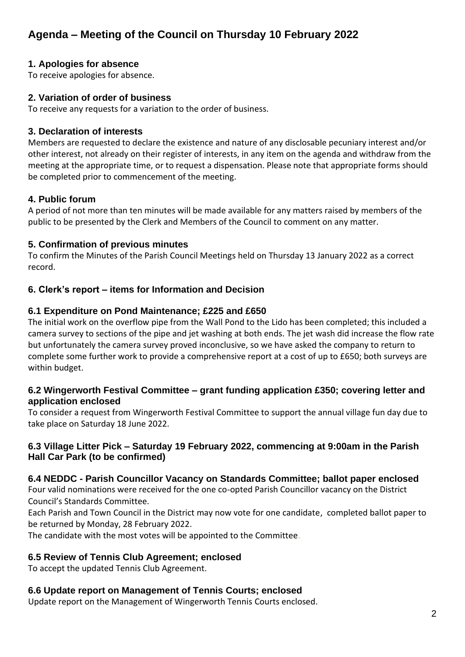# **1. Apologies for absence**

To receive apologies for absence.

### **2. Variation of order of business**

To receive any requests for a variation to the order of business.

# **3. Declaration of interests**

Members are requested to declare the existence and nature of any disclosable pecuniary interest and/or other interest, not already on their register of interests, in any item on the agenda and withdraw from the meeting at the appropriate time, or to request a dispensation. Please note that appropriate forms should be completed prior to commencement of the meeting.

# **4. Public forum**

A period of not more than ten minutes will be made available for any matters raised by members of the public to be presented by the Clerk and Members of the Council to comment on any matter.

# **5. Confirmation of previous minutes**

To confirm the Minutes of the Parish Council Meetings held on Thursday 13 January 2022 as a correct record.

# **6. Clerk's report – items for Information and Decision**

# **6.1 Expenditure on Pond Maintenance; £225 and £650**

The initial work on the overflow pipe from the Wall Pond to the Lido has been completed; this included a camera survey to sections of the pipe and jet washing at both ends. The jet wash did increase the flow rate but unfortunately the camera survey proved inconclusive, so we have asked the company to return to complete some further work to provide a comprehensive report at a cost of up to £650; both surveys are within budget.

# **6.2 Wingerworth Festival Committee – grant funding application £350; covering letter and application enclosed**

To consider a request from Wingerworth Festival Committee to support the annual village fun day due to take place on Saturday 18 June 2022.

# **6.3 Village Litter Pick – Saturday 19 February 2022, commencing at 9:00am in the Parish Hall Car Park (to be confirmed)**

# **6.4 NEDDC - Parish Councillor Vacancy on Standards Committee; ballot paper enclosed**

Four valid nominations were received for the one co-opted Parish Councillor vacancy on the District Council's Standards Committee.

Each Parish and Town Council in the District may now vote for one candidate, completed ballot paper to be returned by Monday, 28 February 2022.

The candidate with the most votes will be appointed to the Committee.

# **6.5 Review of Tennis Club Agreement; enclosed**

To accept the updated Tennis Club Agreement.

# **6.6 Update report on Management of Tennis Courts; enclosed**

Update report on the Management of Wingerworth Tennis Courts enclosed.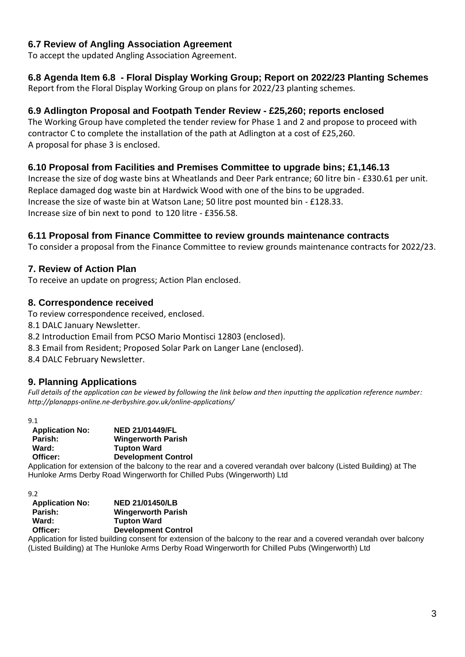# **6.7 Review of Angling Association Agreement**

To accept the updated Angling Association Agreement.

# **6.8 Agenda Item 6.8 - Floral Display Working Group; Report on 2022/23 Planting Schemes**

Report from the Floral Display Working Group on plans for 2022/23 planting schemes.

# **6.9 Adlington Proposal and Footpath Tender Review - £25,260; reports enclosed**

The Working Group have completed the tender review for Phase 1 and 2 and propose to proceed with contractor C to complete the installation of the path at Adlington at a cost of £25,260. A proposal for phase 3 is enclosed.

# **6.10 Proposal from Facilities and Premises Committee to upgrade bins; £1,146.13**

Increase the size of dog waste bins at Wheatlands and Deer Park entrance; 60 litre bin - £330.61 per unit. Replace damaged dog waste bin at Hardwick Wood with one of the bins to be upgraded. Increase the size of waste bin at Watson Lane; 50 litre post mounted bin - £128.33. Increase size of bin next to pond to 120 litre - £356.58.

# **6.11 Proposal from Finance Committee to review grounds maintenance contracts**

To consider a proposal from the Finance Committee to review grounds maintenance contracts for 2022/23.

# **7. Review of Action Plan**

To receive an update on progress; Action Plan enclosed.

### **8. Correspondence received**

To review correspondence received, enclosed.

8.1 DALC January Newsletter.

- 8.2 Introduction Email from PCSO Mario Montisci 12803 (enclosed).
- 8.3 Email from Resident; Proposed Solar Park on Langer Lane (enclosed).
- 8.4 DALC February Newsletter.

# **9. Planning Applications**

*Full details of the application can be viewed by following the link below and then inputting the application reference number: <http://planapps-online.ne-derbyshire.gov.uk/online-applications/>*

#### 9.1

| <b>Application No:</b> | <b>NED 21/01449/FL</b>                                                                                            |
|------------------------|-------------------------------------------------------------------------------------------------------------------|
| Parish:                | <b>Wingerworth Parish</b>                                                                                         |
| Ward:                  | <b>Tupton Ward</b>                                                                                                |
| Officer:               | <b>Development Control</b>                                                                                        |
|                        | Application for extension of the balcony to the rear and a covered verandah over balcony (Listed Building) at The |
|                        | Hunloke Arms Derby Road Wingerworth for Chilled Pubs (Wingerworth) Ltd                                            |

9.2

| <b>NED 21/01450/LB</b>     |
|----------------------------|
| <b>Wingerworth Parish</b>  |
| <b>Tupton Ward</b>         |
| <b>Development Control</b> |
|                            |

Application for listed building consent for extension of the balcony to the rear and a covered verandah over balcony (Listed Building) at The Hunloke Arms Derby Road Wingerworth for Chilled Pubs (Wingerworth) Ltd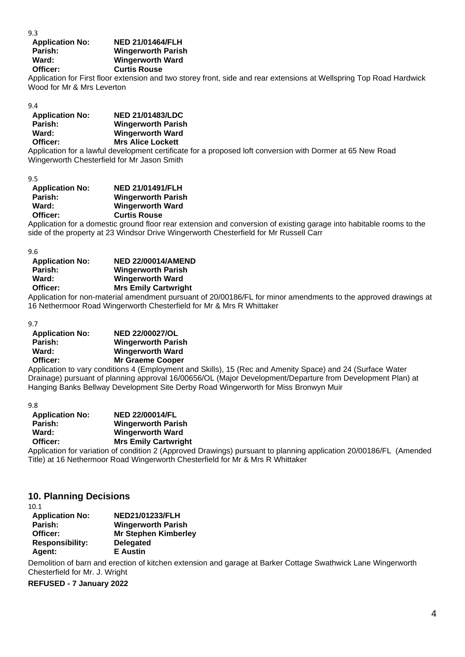9.3

### **Application No: NED 21/01464/FLH Parish: Wingerworth Parish Ward: Wingerworth Ward Officer: Curtis Rouse**

Application for First floor extension and two storey front, side and rear extensions at Wellspring Top Road Hardwick Wood for Mr & Mrs Leverton

#### 9.4

| <b>Application No:</b> | <b>NED 21/01483/LDC</b>   |
|------------------------|---------------------------|
| Parish:                | <b>Wingerworth Parish</b> |
| Ward:                  | <b>Wingerworth Ward</b>   |
| Officer:               | <b>Mrs Alice Lockett</b>  |
|                        |                           |

Application for a lawful development certificate for a proposed loft conversion with Dormer at 65 New Road Wingerworth Chesterfield for Mr Jason Smith

9.5

| <b>NED 21/01491/FLH</b>   |
|---------------------------|
| <b>Wingerworth Parish</b> |
| <b>Wingerworth Ward</b>   |
| <b>Curtis Rouse</b>       |
|                           |

Application for a domestic ground floor rear extension and conversion of existing garage into habitable rooms to the side of the property at 23 Windsor Drive Wingerworth Chesterfield for Mr Russell Carr

9.6

| <b>Application No:</b> | <b>NED 22/00014/AMEND</b>                                                                     |  |
|------------------------|-----------------------------------------------------------------------------------------------|--|
| Parish:                | <b>Wingerworth Parish</b>                                                                     |  |
| Ward:                  | Wingerworth Ward                                                                              |  |
| Officer:               | <b>Mrs Emily Cartwright</b>                                                                   |  |
|                        | Application for non-material amondment pursuant of 20/00186/EL for minor amondments to the an |  |

plication for non-material amendment pursuant of 20/00186/FL for minor amendments to the approved drawings at 16 Nethermoor Road Wingerworth Chesterfield for Mr & Mrs R Whittaker

9.7

| <b>Application No:</b> | <b>NED 22/00027/OL</b>    |
|------------------------|---------------------------|
| Parish:                | <b>Wingerworth Parish</b> |
| Ward:                  | <b>Wingerworth Ward</b>   |
| Officer:               | <b>Mr Graeme Cooper</b>   |
|                        |                           |

Application to vary conditions 4 (Employment and Skills), 15 (Rec and Amenity Space) and 24 (Surface Water Drainage) pursuant of planning approval 16/00656/OL (Major Development/Departure from Development Plan) at Hanging Banks Bellway Development Site Derby Road Wingerworth for Miss Bronwyn Muir

9.8

| <b>Application No:</b> | <b>NED 22/00014/FL</b>                                                     |
|------------------------|----------------------------------------------------------------------------|
| Parish:                | <b>Wingerworth Parish</b>                                                  |
| Ward:                  | <b>Wingerworth Ward</b>                                                    |
| Officer:               | <b>Mrs Emily Cartwright</b>                                                |
|                        | $\Lambda$ and incline for undertaken of condition $\Omega$ (Appear ind Dr. |

Application for variation of condition 2 (Approved Drawings) pursuant to planning application 20/00186/FL (Amended Title) at 16 Nethermoor Road Wingerworth Chesterfield for Mr & Mrs R Whittaker

### **10. Planning Decisions**

10.1

| <b>Application No:</b> | <b>NED21/01233/FLH</b>      |
|------------------------|-----------------------------|
| Parish:                | <b>Wingerworth Parish</b>   |
| Officer:               | <b>Mr Stephen Kimberley</b> |
| <b>Responsibility:</b> | <b>Delegated</b>            |
| Agent:                 | <b>E</b> Austin             |

Demolition of barn and erection of kitchen extension and garage at Barker Cottage Swathwick Lane Wingerworth Chesterfield for Mr. J. Wright

**REFUSED - 7 January 2022**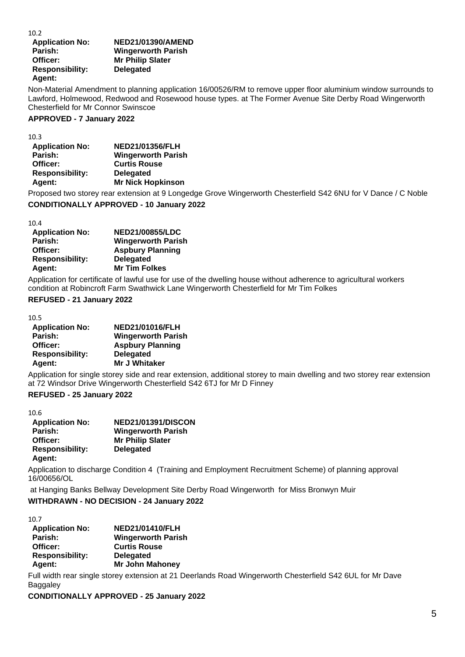| 10.2                   |                           |
|------------------------|---------------------------|
| <b>Application No:</b> | <b>NED21/01390/AMEND</b>  |
| Parish:                | <b>Wingerworth Parish</b> |
| Officer:               | <b>Mr Philip Slater</b>   |
| <b>Responsibility:</b> | <b>Delegated</b>          |
| Agent:                 |                           |

Non-Material Amendment to planning application 16/00526/RM to remove upper floor aluminium window surrounds to Lawford, Holmewood, Redwood and Rosewood house types. at The Former Avenue Site Derby Road Wingerworth Chesterfield for Mr Connor Swinscoe

#### **APPROVED - 7 January 2022**

10.3

| ີ                      |                           |
|------------------------|---------------------------|
| <b>Application No:</b> | <b>NED21/01356/FLH</b>    |
| Parish:                | <b>Wingerworth Parish</b> |
| <b>Officer:</b>        | <b>Curtis Rouse</b>       |
| <b>Responsibility:</b> | <b>Delegated</b>          |
| Agent:                 | <b>Mr Nick Hopkinson</b>  |
|                        |                           |

Proposed two storey rear extension at 9 Longedge Grove Wingerworth Chesterfield S42 6NU for V Dance / C Noble

#### **CONDITIONALLY APPROVED - 10 January 2022**

10.4

| <b>NED21/00855/LDC</b>    |
|---------------------------|
| <b>Wingerworth Parish</b> |
| <b>Aspbury Planning</b>   |
| <b>Delegated</b>          |
| <b>Mr Tim Folkes</b>      |
|                           |

Application for certificate of lawful use for use of the dwelling house without adherence to agricultural workers condition at Robincroft Farm Swathwick Lane Wingerworth Chesterfield for Mr Tim Folkes

#### **REFUSED - 21 January 2022**

10.5

| <b>Application No:</b> | <b>NED21/01016/FLH</b>    |
|------------------------|---------------------------|
| Parish:                | <b>Wingerworth Parish</b> |
| Officer:               | <b>Aspbury Planning</b>   |
| <b>Responsibility:</b> | <b>Delegated</b>          |
| Agent:                 | Mr J Whitaker             |

Application for single storey side and rear extension, additional storey to main dwelling and two storey rear extension at 72 Windsor Drive Wingerworth Chesterfield S42 6TJ for Mr D Finney

#### **REFUSED - 25 January 2022**

10.6

| <b>Application No:</b> | <b>NED21/01391/DISCON</b> |
|------------------------|---------------------------|
| Parish:                | <b>Wingerworth Parish</b> |
| Officer:               | <b>Mr Philip Slater</b>   |
| <b>Responsibility:</b> | <b>Delegated</b>          |
| Agent:                 |                           |

Application to discharge Condition 4 (Training and Employment Recruitment Scheme) of planning approval 16/00656/OL

at Hanging Banks Bellway Development Site Derby Road Wingerworth for Miss Bronwyn Muir **WITHDRAWN - NO DECISION - 24 January 2022** 

10.7

| <b>Application No:</b> | <b>NED21/01410/FLH</b>    |
|------------------------|---------------------------|
| Parish:                | <b>Wingerworth Parish</b> |
| Officer:               | <b>Curtis Rouse</b>       |
| <b>Responsibility:</b> | <b>Delegated</b>          |
| <b>Agent:</b>          | <b>Mr John Mahoney</b>    |
|                        |                           |

Full width rear single storey extension at 21 Deerlands Road Wingerworth Chesterfield S42 6UL for Mr Dave Baggaley

**CONDITIONALLY APPROVED - 25 January 2022**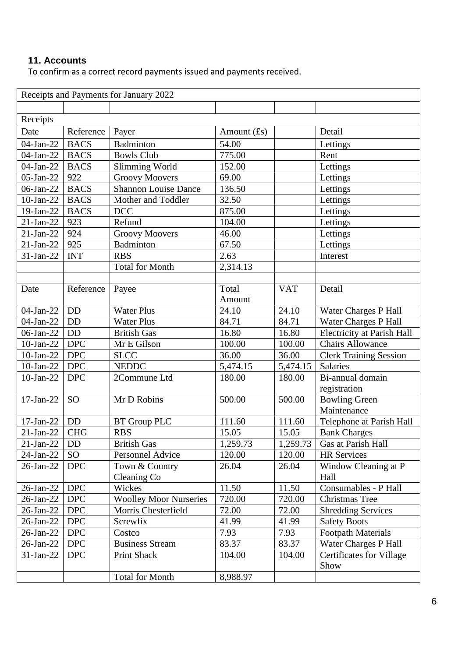# **11. Accounts**

To confirm as a correct record payments issued and payments received.

|                 |             | Receipts and Payments for January 2022 |                |            |                                 |
|-----------------|-------------|----------------------------------------|----------------|------------|---------------------------------|
|                 |             |                                        |                |            |                                 |
| Receipts        |             |                                        |                |            |                                 |
| Date            | Reference   | Payer                                  | Amount $(f_s)$ |            | Detail                          |
| 04-Jan-22       | <b>BACS</b> | Badminton                              | 54.00          |            | Lettings                        |
| 04-Jan-22       | <b>BACS</b> | <b>Bowls Club</b>                      | 775.00         |            | Rent                            |
| 04-Jan-22       | <b>BACS</b> | <b>Slimming World</b>                  | 152.00         |            | Lettings                        |
| 05-Jan-22       | 922         | <b>Groovy Moovers</b>                  | 69.00          |            | Lettings                        |
| 06-Jan-22       | <b>BACS</b> | <b>Shannon Louise Dance</b>            | 136.50         |            | Lettings                        |
| 10-Jan-22       | <b>BACS</b> | Mother and Toddler                     | 32.50          |            | Lettings                        |
| 19-Jan-22       | <b>BACS</b> | <b>DCC</b>                             | 875.00         |            | Lettings                        |
| $21-Jan-22$     | 923         | Refund                                 | 104.00         |            | Lettings                        |
| $21-Jan-22$     | 924         | <b>Groovy Moovers</b>                  | 46.00          |            | Lettings                        |
| $21$ -Jan- $22$ | 925         | <b>Badminton</b>                       | 67.50          |            | Lettings                        |
| 31-Jan-22       | <b>INT</b>  | <b>RBS</b>                             | 2.63           |            | Interest                        |
|                 |             | <b>Total for Month</b>                 | 2,314.13       |            |                                 |
|                 |             |                                        |                |            |                                 |
| Date            | Reference   | Payee                                  | Total          | <b>VAT</b> | Detail                          |
|                 |             |                                        | Amount         |            |                                 |
| 04-Jan-22       | <b>DD</b>   | <b>Water Plus</b>                      | 24.10          | 24.10      | Water Charges P Hall            |
| 04-Jan-22       | <b>DD</b>   | <b>Water Plus</b>                      | 84.71          | 84.71      | Water Charges P Hall            |
| 06-Jan-22       | <b>DD</b>   | <b>British Gas</b>                     | 16.80          | 16.80      | Electricity at Parish Hall      |
| $10-Jan-22$     | <b>DPC</b>  | Mr E Gilson                            | 100.00         | 100.00     | <b>Chairs Allowance</b>         |
| 10-Jan-22       | <b>DPC</b>  | <b>SLCC</b>                            | 36.00          | 36.00      | <b>Clerk Training Session</b>   |
| $10$ -Jan-22    | <b>DPC</b>  | <b>NEDDC</b>                           | 5,474.15       | 5,474.15   | Salaries                        |
| 10-Jan-22       | <b>DPC</b>  | 2Commune Ltd                           | 180.00         | 180.00     | Bi-annual domain                |
|                 |             |                                        |                |            | registration                    |
| 17-Jan-22       | <b>SO</b>   | Mr D Robins                            | 500.00         | 500.00     | <b>Bowling Green</b>            |
|                 |             |                                        |                |            | Maintenance                     |
| 17-Jan-22       | <b>DD</b>   | <b>BT</b> Group PLC                    | 111.60         | 111.60     | Telephone at Parish Hall        |
| $21$ -Jan-22    | <b>CHG</b>  | <b>RBS</b>                             | 15.05          | 15.05      | <b>Bank Charges</b>             |
| $21-Jan-22$     | DD          | <b>British Gas</b>                     | 1,259.73       | 1,259.73   | Gas at Parish Hall              |
| 24-Jan-22       | <b>SO</b>   | Personnel Advice                       | 120.00         | 120.00     | <b>HR Services</b>              |
| $26$ -Jan- $22$ | <b>DPC</b>  | Town & Country                         | 26.04          | 26.04      | Window Cleaning at P            |
|                 |             | Cleaning Co                            |                |            | Hall                            |
| 26-Jan-22       | <b>DPC</b>  | Wickes                                 | 11.50          | 11.50      | Consumables - P Hall            |
| 26-Jan-22       | <b>DPC</b>  | <b>Woolley Moor Nurseries</b>          | 720.00         | 720.00     | <b>Christmas Tree</b>           |
| $26$ -Jan- $22$ | <b>DPC</b>  | Morris Chesterfield                    | 72.00          | 72.00      | <b>Shredding Services</b>       |
| $26$ -Jan-22    | <b>DPC</b>  | Screwfix                               | 41.99          | 41.99      | <b>Safety Boots</b>             |
| 26-Jan-22       | <b>DPC</b>  | Costco                                 | 7.93           | 7.93       | <b>Footpath Materials</b>       |
| $26$ -Jan-22    | <b>DPC</b>  | <b>Business Stream</b>                 | 83.37          | 83.37      | <b>Water Charges P Hall</b>     |
| $31-Jan-22$     | <b>DPC</b>  | Print Shack                            | 104.00         | 104.00     | <b>Certificates for Village</b> |
|                 |             |                                        |                |            | Show                            |
|                 |             | <b>Total for Month</b>                 | 8,988.97       |            |                                 |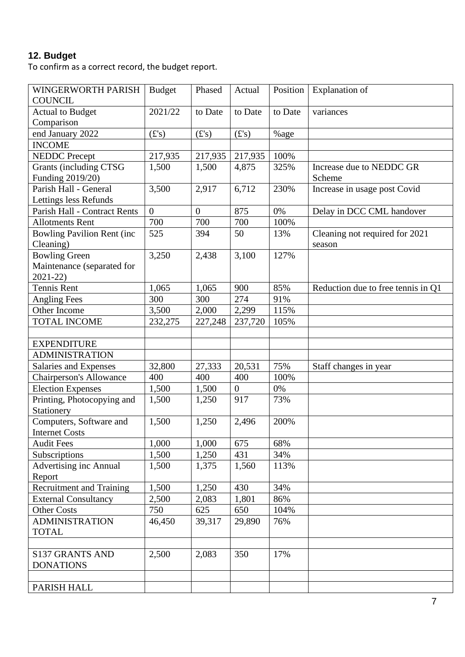# **12. Budget**

To confirm as a correct record, the budget report.

| WINGERWORTH PARISH                 | <b>Budget</b>  | Phased         | Actual         | Position | <b>Explanation</b> of              |
|------------------------------------|----------------|----------------|----------------|----------|------------------------------------|
| <b>COUNCIL</b>                     |                |                |                |          |                                    |
| <b>Actual to Budget</b>            | 2021/22        | to Date        | to Date        | to Date  | variances                          |
| Comparison                         |                |                |                |          |                                    |
| end January 2022                   | (E's)          | (f's)          | (f's)          | %age     |                                    |
| <b>INCOME</b>                      |                |                |                |          |                                    |
| <b>NEDDC</b> Precept               | 217,935        | 217,935        | 217,935        | 100%     |                                    |
| Grants (including CTSG             | 1,500          | 1,500          | 4,875          | 325%     | Increase due to NEDDC GR           |
| Funding 2019/20)                   |                |                |                |          | Scheme                             |
| Parish Hall - General              | 3,500          | 2,917          | 6,712          | 230%     | Increase in usage post Covid       |
| Lettings less Refunds              |                |                |                |          |                                    |
| Parish Hall - Contract Rents       | $\overline{0}$ | $\overline{0}$ | 875            | 0%       | Delay in DCC CML handover          |
| <b>Allotments Rent</b>             | 700            | 700            | 700            | 100%     |                                    |
| <b>Bowling Pavilion Rent (inc.</b> | 525            | 394            | 50             | 13%      | Cleaning not required for 2021     |
| Cleaning)                          |                |                |                |          | season                             |
| <b>Bowling Green</b>               | 3,250          | 2,438          | 3,100          | 127%     |                                    |
| Maintenance (separated for         |                |                |                |          |                                    |
| $2021 - 22$                        |                |                |                |          |                                    |
| Tennis Rent                        | 1,065          | 1,065          | 900            | 85%      | Reduction due to free tennis in Q1 |
| <b>Angling Fees</b>                | 300            | 300            | 274            | 91%      |                                    |
| Other Income                       | 3,500          | 2,000          | 2,299          | 115%     |                                    |
| <b>TOTAL INCOME</b>                | 232,275        | 227,248        | 237,720        | 105%     |                                    |
|                                    |                |                |                |          |                                    |
| <b>EXPENDITURE</b>                 |                |                |                |          |                                    |
| <b>ADMINISTRATION</b>              |                |                |                |          |                                    |
| Salaries and Expenses              | 32,800         | 27,333         | 20,531         | 75%      | Staff changes in year              |
| <b>Chairperson's Allowance</b>     | 400            | 400            | 400            | 100%     |                                    |
| <b>Election Expenses</b>           | 1,500          | 1,500          | $\overline{0}$ | 0%       |                                    |
| Printing, Photocopying and         | 1,500          | 1,250          | 917            | 73%      |                                    |
| Stationery                         |                |                |                |          |                                    |
| Computers, Software and            | 1,500          | 1,250          | 2,496          | 200%     |                                    |
| <b>Internet Costs</b>              |                |                |                |          |                                    |
| <b>Audit Fees</b>                  | 1,000          | 1,000          | 675            | 68%      |                                    |
| Subscriptions                      | 1,500          | 1,250          | 431            | 34%      |                                    |
| <b>Advertising inc Annual</b>      | 1,500          | 1,375          | 1,560          | 113%     |                                    |
| Report                             |                |                |                |          |                                    |
| <b>Recruitment and Training</b>    | 1,500          | 1,250          | 430            | 34%      |                                    |
| <b>External Consultancy</b>        | 2,500          | 2,083          | 1,801          | 86%      |                                    |
| <b>Other Costs</b>                 | 750            | 625            | 650            | 104%     |                                    |
| <b>ADMINISTRATION</b>              | 46,450         | 39,317         | 29,890         | 76%      |                                    |
| <b>TOTAL</b>                       |                |                |                |          |                                    |
|                                    |                |                |                |          |                                    |
| <b>S137 GRANTS AND</b>             | 2,500          | 2,083          | 350            | 17%      |                                    |
| <b>DONATIONS</b>                   |                |                |                |          |                                    |
|                                    |                |                |                |          |                                    |
| PARISH HALL                        |                |                |                |          |                                    |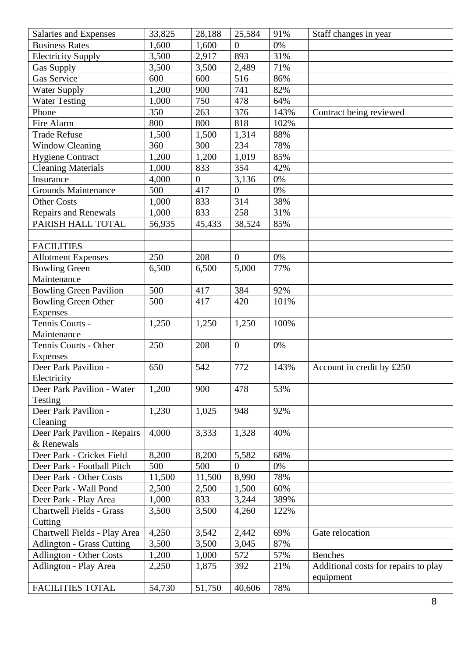| Salaries and Expenses            | 33,825 | 28,188         | 25,584           | 91%   | Staff changes in year                |
|----------------------------------|--------|----------------|------------------|-------|--------------------------------------|
| <b>Business Rates</b>            | 1,600  | 1,600          | $\overline{0}$   | 0%    |                                      |
| <b>Electricity Supply</b>        | 3,500  | 2,917          | 893              | 31%   |                                      |
| <b>Gas Supply</b>                | 3,500  | 3,500          | 2,489            | 71%   |                                      |
| Gas Service                      | 600    | 600            | 516              | 86%   |                                      |
| <b>Water Supply</b>              | 1,200  | 900            | 741              | 82%   |                                      |
| <b>Water Testing</b>             | 1,000  | 750            | 478              | 64%   |                                      |
| Phone                            | 350    | 263            | 376              | 143%  | Contract being reviewed              |
| Fire Alarm                       | 800    | 800            | 818              | 102%  |                                      |
| <b>Trade Refuse</b>              | 1,500  | 1,500          | 1,314            | 88%   |                                      |
| <b>Window Cleaning</b>           | 360    | 300            | 234              | 78%   |                                      |
| <b>Hygiene Contract</b>          | 1,200  | 1,200          | 1,019            | 85%   |                                      |
| <b>Cleaning Materials</b>        | 1,000  | 833            | 354              | 42%   |                                      |
| Insurance                        | 4,000  | $\overline{0}$ | 3,136            | 0%    |                                      |
| <b>Grounds Maintenance</b>       | 500    | 417            | $\overline{0}$   | $0\%$ |                                      |
| <b>Other Costs</b>               | 1,000  | 833            | 314              | 38%   |                                      |
| Repairs and Renewals             | 1,000  | 833            | 258              | 31%   |                                      |
| PARISH HALL TOTAL                | 56,935 | 45,433         | 38,524           | 85%   |                                      |
|                                  |        |                |                  |       |                                      |
| <b>FACILITIES</b>                |        |                |                  |       |                                      |
| <b>Allotment Expenses</b>        | 250    | 208            | $\boldsymbol{0}$ | 0%    |                                      |
| <b>Bowling Green</b>             | 6,500  | 6,500          | 5,000            | 77%   |                                      |
| Maintenance                      |        |                |                  |       |                                      |
| <b>Bowling Green Pavilion</b>    | 500    | 417            | 384              | 92%   |                                      |
| <b>Bowling Green Other</b>       | 500    | 417            | 420              | 101%  |                                      |
| <b>Expenses</b>                  |        |                |                  |       |                                      |
| Tennis Courts -                  | 1,250  | 1,250          | 1,250            | 100%  |                                      |
| Maintenance                      |        |                |                  |       |                                      |
| Tennis Courts - Other            | 250    | 208            | $\boldsymbol{0}$ | 0%    |                                      |
| <b>Expenses</b>                  |        |                |                  |       |                                      |
| Deer Park Pavilion -             | 650    | 542            | 772              | 143%  | Account in credit by £250            |
| Electricity                      |        |                |                  |       |                                      |
| Deer Park Pavilion - Water       | 1,200  | 900            | 478              | 53%   |                                      |
| Testing                          |        |                |                  |       |                                      |
| Deer Park Pavilion -             | 1,230  | 1,025          | 948              | 92%   |                                      |
| Cleaning                         |        |                |                  |       |                                      |
| Deer Park Pavilion - Repairs     | 4,000  | 3,333          | 1,328            | 40%   |                                      |
| & Renewals                       |        |                |                  |       |                                      |
| Deer Park - Cricket Field        | 8,200  | 8,200          | 5,582            | 68%   |                                      |
| Deer Park - Football Pitch       | 500    | 500            | $\overline{0}$   | $0\%$ |                                      |
| Deer Park - Other Costs          | 11,500 | 11,500         | 8,990            | 78%   |                                      |
| Deer Park - Wall Pond            | 2,500  | 2,500          | 1,500            | 60%   |                                      |
| Deer Park - Play Area            | 1,000  | 833            | 3,244            | 389%  |                                      |
| <b>Chartwell Fields - Grass</b>  | 3,500  | 3,500          | 4,260            | 122%  |                                      |
| Cutting                          |        |                |                  |       |                                      |
| Chartwell Fields - Play Area     | 4,250  | 3,542          | 2,442            | 69%   | Gate relocation                      |
| <b>Adlington - Grass Cutting</b> | 3,500  | 3,500          | 3,045            | 87%   |                                      |
| <b>Adlington - Other Costs</b>   | 1,200  | 1,000          | 572              | 57%   | <b>Benches</b>                       |
| Adlington - Play Area            | 2,250  | 1,875          | 392              | 21%   | Additional costs for repairs to play |
|                                  |        |                |                  |       | equipment                            |
| <b>FACILITIES TOTAL</b>          | 54,730 | 51,750         | 40,606           | 78%   |                                      |
|                                  |        |                |                  |       |                                      |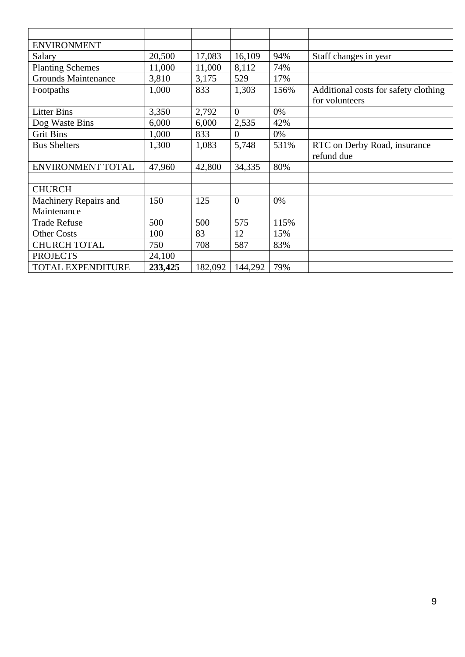| <b>ENVIRONMENT</b>         |         |         |                |      |                                      |
|----------------------------|---------|---------|----------------|------|--------------------------------------|
| Salary                     | 20,500  | 17,083  | 16,109         | 94%  | Staff changes in year                |
| <b>Planting Schemes</b>    | 11,000  | 11,000  | 8,112          | 74%  |                                      |
| <b>Grounds Maintenance</b> | 3,810   | 3,175   | 529            | 17%  |                                      |
| Footpaths                  | 1,000   | 833     | 1,303          | 156% | Additional costs for safety clothing |
|                            |         |         |                |      | for volunteers                       |
| <b>Litter Bins</b>         | 3,350   | 2,792   | $\Omega$       | 0%   |                                      |
| Dog Waste Bins             | 6,000   | 6,000   | 2,535          | 42%  |                                      |
| <b>Grit Bins</b>           | 1,000   | 833     | $\theta$       | 0%   |                                      |
| <b>Bus Shelters</b>        | 1,300   | 1,083   | 5,748          | 531% | RTC on Derby Road, insurance         |
|                            |         |         |                |      | refund due                           |
| ENVIRONMENT TOTAL          | 47,960  | 42,800  | 34,335         | 80%  |                                      |
|                            |         |         |                |      |                                      |
| <b>CHURCH</b>              |         |         |                |      |                                      |
| Machinery Repairs and      | 150     | 125     | $\overline{0}$ | 0%   |                                      |
| Maintenance                |         |         |                |      |                                      |
| <b>Trade Refuse</b>        | 500     | 500     | 575            | 115% |                                      |
| <b>Other Costs</b>         | 100     | 83      | 12             | 15%  |                                      |
| <b>CHURCH TOTAL</b>        | 750     | 708     | 587            | 83%  |                                      |
| <b>PROJECTS</b>            | 24,100  |         |                |      |                                      |
| TOTAL EXPENDITURE          | 233,425 | 182,092 | 144,292        | 79%  |                                      |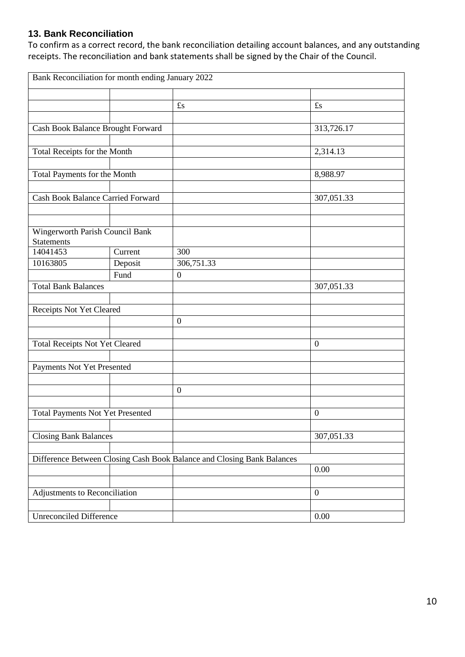# **13. Bank Reconciliation**

To confirm as a correct record, the bank reconciliation detailing account balances, and any outstanding receipts. The reconciliation and bank statements shall be signed by the Chair of the Council.

| Bank Reconciliation for month ending January 2022    |         |                                                                        |                  |
|------------------------------------------------------|---------|------------------------------------------------------------------------|------------------|
|                                                      |         |                                                                        |                  |
|                                                      |         | $\pounds$ s                                                            | $\mathbf{f}_s$   |
|                                                      |         |                                                                        |                  |
| Cash Book Balance Brought Forward                    |         |                                                                        | 313,726.17       |
|                                                      |         |                                                                        |                  |
| Total Receipts for the Month                         |         |                                                                        | 2,314.13         |
|                                                      |         |                                                                        |                  |
| Total Payments for the Month                         |         |                                                                        | 8,988.97         |
|                                                      |         |                                                                        |                  |
| Cash Book Balance Carried Forward                    |         |                                                                        | 307,051.33       |
|                                                      |         |                                                                        |                  |
|                                                      |         |                                                                        |                  |
| Wingerworth Parish Council Bank<br><b>Statements</b> |         |                                                                        |                  |
| 14041453                                             | Current | 300                                                                    |                  |
| 10163805                                             | Deposit | 306,751.33                                                             |                  |
|                                                      | Fund    | $\boldsymbol{0}$                                                       |                  |
| <b>Total Bank Balances</b>                           |         |                                                                        | 307,051.33       |
|                                                      |         |                                                                        |                  |
| Receipts Not Yet Cleared                             |         |                                                                        |                  |
|                                                      |         | $\boldsymbol{0}$                                                       |                  |
|                                                      |         |                                                                        |                  |
| <b>Total Receipts Not Yet Cleared</b>                |         |                                                                        | $\mathbf{0}$     |
|                                                      |         |                                                                        |                  |
| Payments Not Yet Presented                           |         |                                                                        |                  |
|                                                      |         |                                                                        |                  |
|                                                      |         | $\boldsymbol{0}$                                                       |                  |
|                                                      |         |                                                                        |                  |
| <b>Total Payments Not Yet Presented</b>              |         |                                                                        | $\boldsymbol{0}$ |
|                                                      |         |                                                                        |                  |
| <b>Closing Bank Balances</b>                         |         |                                                                        | 307,051.33       |
|                                                      |         |                                                                        |                  |
|                                                      |         | Difference Between Closing Cash Book Balance and Closing Bank Balances |                  |
|                                                      |         |                                                                        | 0.00             |
|                                                      |         |                                                                        |                  |
| Adjustments to Reconciliation                        |         |                                                                        | $\boldsymbol{0}$ |
|                                                      |         |                                                                        |                  |
| <b>Unreconciled Difference</b>                       |         |                                                                        | 0.00             |